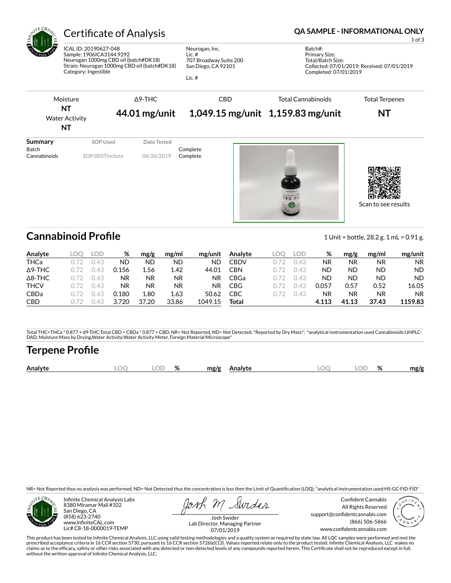

# Certificate of Analysis **Certificate of Analysis QA SAMPLE - INFORMATIONAL ONLY**

ICAL ID: 20190627-048 Sample: 1906ICA3144.9292 Neurogan 1000mg CBD oil (batch#DK18) Strain: Neurogan 1000mg CBD oil (batch#DK18) Category: Ingestible

Neurogan, Inc. Lic. # 707 Broadway Suite.200 San Diego, CA 92101

Lic. #

1 of 3

Batch#: Primary Size: Total/Batch Size: Collected: 07/01/2019; Received: 07/01/2019 Completed: 07/01/2019



Scan to see results

## **Cannabinoid Profile** 1 Unit = bottle, 28.2 g. 1 mL = 0.91 g.

| Analyte        | LOC | LOD   | ℅     | mg/g  | mg/ml | mg/unit   | Analyte    | LOC | LOD  | ℅     | mg/g  | mg/ml     | mg/unit   |
|----------------|-----|-------|-------|-------|-------|-----------|------------|-----|------|-------|-------|-----------|-----------|
| <b>THCa</b>    |     | L43   | ND    | ΝD    | ND    | <b>ND</b> | CBDV       |     | 0.43 | ΝR    | NR    | <b>NR</b> | <b>NR</b> |
| $\Delta$ 9-THC |     | 43 (  | 0.156 | 1.56  | 1.42  | 44.01     | CBN        |     | 0.43 | ND    | ND    | ND        | <b>ND</b> |
| $\Delta$ 8-THC |     | 143   | NR    | ΝR    | NR    | ΝR        | CBGa       |     | N 43 | ND    | ΝD    | ND        | <b>ND</b> |
| <b>THCV</b>    |     | 0.43  | ΝR    | ΝR    | NR    | NR        | <b>CBG</b> |     | D 43 | 0.057 | 0.57  | 0.52      | 16.05     |
| <b>CBDa</b>    |     | 2.4 ( | 0.180 | 1.80  | 1.63  | 50.62     | <b>CBC</b> |     | N 43 | NR    | NR    | ΝR        | <b>NR</b> |
| <b>CBD</b>     |     | L43   | 3.720 | 37.20 | 33.86 | 1049.15   | Total      |     |      | 4.113 | 41.13 | 37.43     | 1159.83   |

Total THC=THCa \* 0.877 + d9-THC;Total CBD = CBDa \* 0.877 + CBD; NR= Not Reported, ND= Not Detected, \*Reported by Dry Mass\*; \*analytical instrumentation used Cannabinoids:UHPLC-DAD, Moisture:Mass by Drying,Water Activity:Water Activity Meter, Foreign Material:Microscope\*

## **Terpene Pro×le**

|  | Analyte | x | $\sim$ | % | mg/g<br>Analyte<br>. | $\Omega$<br>๛ | ЭF | $\mathbf{a}$<br>7٥ | mg/g |
|--|---------|---|--------|---|----------------------|---------------|----|--------------------|------|
|--|---------|---|--------|---|----------------------|---------------|----|--------------------|------|

NR= Not Reported thus no analysis was performed, ND= Not Detected thus the concentration is less then the Limit of Quantification (LOQ), \*analytical instrumentation used:HS-GC-FID-FID\*



Infinite Chemical Analysis Labs 8380 Miramar Mall #102 San Diego, CA (858) 623-2740 www.infiniteCAL.com Lic# C8-18-0000019-TEMP

swider

Confident Cannabis All Rights Reserved support@confidentcannabis.com (866) 506-5866 www.confidentcannabis.com



Josh Swider Lab Director, Managing Partner 07/01/2019

This product has been tested by Infinite Chemical Analysis, LLC using valid testing methodologies and a quality system as required by state law. All LQC samples were performed and met the prescribed acceptance criteria in 16 CCR section 5730, pursuant to 16 CCR section 5726(e)(13). Values reported relate only to the product tested. Infinite Chemical Analysis, LLC makes no<br>claims as to the efficacy, safety o without the written approval of Infinite Chemical Analysis, LLC.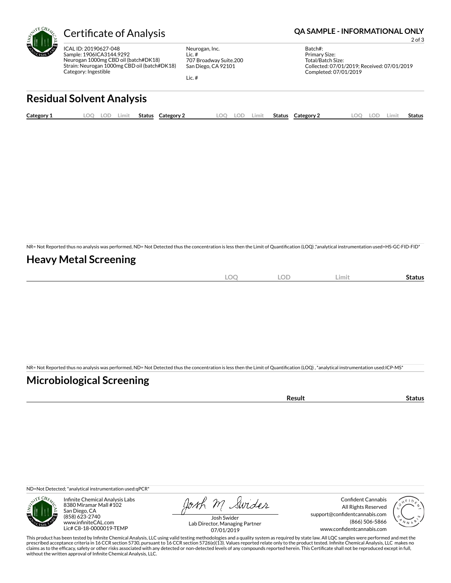

ICAL ID: 20190627-048 Sample: 1906ICA3144.9292 Neurogan 1000mg CBD oil (batch#DK18) Strain: Neurogan 1000mg CBD oil (batch#DK18) Category: Ingestible

Neurogan, Inc. Lic. # 707 Broadway Suite.200 San Diego, CA 92101

Lic. #

### Certificate of Analysis **Certificate of Analysis QA SAMPLE - INFORMATIONAL ONLY**

2 of 3

Batch#: Primary Size: Total/Batch Size: Collected: 07/01/2019; Received: 07/01/2019 Completed: 07/01/2019

# **Residual Solvent Analysis**

| Category 1 | .00 | LOD | .imit | Status | $\sim$<br><b>Category 2</b> | ററ | LOD | Limit | <b>Status</b> | Category 2 | $\Omega$ | LOD. | Limit | Status |
|------------|-----|-----|-------|--------|-----------------------------|----|-----|-------|---------------|------------|----------|------|-------|--------|
|            |     |     |       |        |                             |    |     |       |               |            |          |      |       |        |

NR= Not Reported thus no analysis was performed, ND= Not Detected thus the concentration is less then the Limit of Quantification (LOQ) ,\*analytical instrumentation used=HS-GC-FID-FID\*

### **Heavy Metal Screening**

| $\sim$<br>∽<br>$\sim$ | OF<br>∽ | Limit | status |
|-----------------------|---------|-------|--------|
|                       |         |       |        |

NR= Not Reported thus no analysis was performed, ND= Not Detected thus the concentration is less then the Limit of Quantification (LOQ), \*analytical instrumentation used:ICP-MS\*

### **Microbiological Screening**

| ารนIน |
|-------|
|-------|

ND=Not Detected; \*analytical instrumentation used:qPCR\*



Infinite Chemical Analysis Labs 8380 Miramar Mall #102 San Diego, CA (858) 623-2740 www.infiniteCAL.com Lic# C8-18-0000019-TEMP

Josh M Swider

Confident Cannabis All Rights Reserved support@confidentcannabis.com (866) 506-5866 www.confidentcannabis.com



Josh Swider Lab Director, Managing Partner 07/01/2019

This product has been tested by Infinite Chemical Analysis, LLC using valid testing methodologies and a quality system as required by state law. All LQC samples were performed and met the prescribed acceptance criteria in 16 CCR section 5730, pursuant to 16 CCR section 5726(e)(13). Values reported relate only to the product tested. Infinite Chemical Analysis, LLC makes no<br>claims as to the efficacy, safety o without the written approval of Infinite Chemical Analysis, LLC.